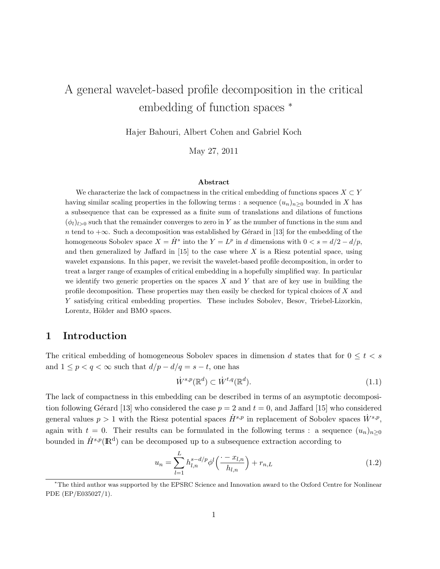# A general wavelet-based profile decomposition in the critical embedding of function spaces <sup>∗</sup>

Hajer Bahouri, Albert Cohen and Gabriel Koch

May 27, 2011

#### Abstract

We characterize the lack of compactness in the critical embedding of functions spaces  $X \subset Y$ having similar scaling properties in the following terms : a sequence  $(u_n)_{n\geq 0}$  bounded in X has a subsequence that can be expressed as a finite sum of translations and dilations of functions  $(\phi_l)_{l>0}$  such that the remainder converges to zero in Y as the number of functions in the sum and n tend to  $+\infty$ . Such a decomposition was established by Gérard in [13] for the embedding of the homogeneous Sobolev space  $X = \dot{H}^s$  into the  $Y = L^p$  in d dimensions with  $0 < s = d/2 - d/p$ , and then generalized by Jaffard in  $[15]$  to the case where X is a Riesz potential space, using wavelet expansions. In this paper, we revisit the wavelet-based profile decomposition, in order to treat a larger range of examples of critical embedding in a hopefully simplified way. In particular we identify two generic properties on the spaces  $X$  and  $Y$  that are of key use in building the profile decomposition. These properties may then easily be checked for typical choices of X and Y satisfying critical embedding properties. These includes Sobolev, Besov, Triebel-Lizorkin, Lorentz, Hölder and BMO spaces.

# 1 Introduction

The critical embedding of homogeneous Sobolev spaces in dimension d states that for  $0 \leq t < s$ and  $1 \leq p < q < \infty$  such that  $d/p - d/q = s - t$ , one has

$$
\dot{W}^{s,p}(\mathbb{R}^d) \subset \dot{W}^{t,q}(\mathbb{R}^d). \tag{1.1}
$$

The lack of compactness in this embedding can be described in terms of an asymptotic decomposition following Gérard [13] who considered the case  $p = 2$  and  $t = 0$ , and Jaffard [15] who considered general values  $p > 1$  with the Riesz potential spaces  $\dot{H}^{s,p}$  in replacement of Sobolev spaces  $\dot{W}^{s,p}$ , again with  $t = 0$ . Their results can be formulated in the following terms : a sequence  $(u_n)_{n>0}$ bounded in  $\dot{H}^{s,p}(\mathbb{R}^d)$  can be decomposed up to a subsequence extraction according to

$$
u_n = \sum_{l=1}^{L} h_{l,n}^{s-d/p} \phi^l \left( \frac{\cdot - x_{l,n}}{h_{l,n}} \right) + r_{n,L}
$$
 (1.2)

<sup>∗</sup>The third author was supported by the EPSRC Science and Innovation award to the Oxford Centre for Nonlinear PDE (EP/E035027/1).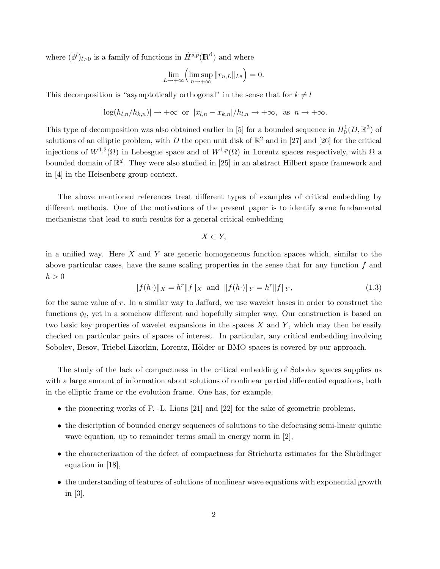where  $(\phi^l)_{l>0}$  is a family of functions in  $\dot{H}^{s,p}(\mathbb{R}^d)$  and where

$$
\lim_{L\to+\infty}\left(\limsup_{n\to+\infty}\|r_{n,L}\|_{L^q}\right)=0.
$$

This decomposition is "asymptotically orthogonal" in the sense that for  $k \neq l$ 

$$
|\log(h_{l,n}/h_{k,n})| \to +\infty
$$
 or  $|x_{l,n} - x_{k,n}|/h_{l,n} \to +\infty$ , as  $n \to +\infty$ .

This type of decomposition was also obtained earlier in [5] for a bounded sequence in  $H_0^1(D, \mathbb{R}^3)$  of solutions of an elliptic problem, with D the open unit disk of  $\mathbb{R}^2$  and in [27] and [26] for the critical injections of  $W^{1,2}(\Omega)$  in Lebesgue space and of  $W^{1,p}(\Omega)$  in Lorentz spaces respectively, with  $\Omega$  a bounded domain of  $\mathbb{R}^d$ . They were also studied in [25] in an abstract Hilbert space framework and in [4] in the Heisenberg group context.

The above mentioned references treat different types of examples of critical embedding by different methods. One of the motivations of the present paper is to identify some fundamental mechanisms that lead to such results for a general critical embedding

$$
X \subset Y,
$$

in a unified way. Here  $X$  and  $Y$  are generic homogeneous function spaces which, similar to the above particular cases, have the same scaling properties in the sense that for any function  $f$  and  $h > 0$ 

$$
||f(h \cdot)||_X = h^r ||f||_X \text{ and } ||f(h \cdot)||_Y = h^r ||f||_Y,\tag{1.3}
$$

for the same value of  $r$ . In a similar way to Jaffard, we use wavelet bases in order to construct the functions  $\phi_l$ , yet in a somehow different and hopefully simpler way. Our construction is based on two basic key properties of wavelet expansions in the spaces  $X$  and  $Y$ , which may then be easily checked on particular pairs of spaces of interest. In particular, any critical embedding involving Sobolev, Besov, Triebel-Lizorkin, Lorentz, Hölder or BMO spaces is covered by our approach.

The study of the lack of compactness in the critical embedding of Sobolev spaces supplies us with a large amount of information about solutions of nonlinear partial differential equations, both in the elliptic frame or the evolution frame. One has, for example,

- the pioneering works of P. -L. Lions [21] and [22] for the sake of geometric problems,
- the description of bounded energy sequences of solutions to the defocusing semi-linear quintic wave equation, up to remainder terms small in energy norm in [2],
- the characterization of the defect of compactness for Strichartz estimates for the Shrödinger equation in [18],
- the understanding of features of solutions of nonlinear wave equations with exponential growth in [3],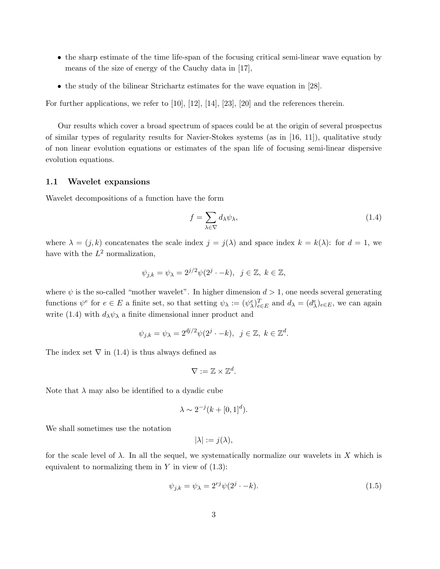- the sharp estimate of the time life-span of the focusing critical semi-linear wave equation by means of the size of energy of the Cauchy data in [17],
- the study of the bilinear Strichartz estimates for the wave equation in [28].

For further applications, we refer to  $[10]$ ,  $[12]$ ,  $[14]$ ,  $[23]$ ,  $[20]$  and the references therein.

Our results which cover a broad spectrum of spaces could be at the origin of several prospectus of similar types of regularity results for Navier-Stokes systems (as in [16, 11]), qualitative study of non linear evolution equations or estimates of the span life of focusing semi-linear dispersive evolution equations.

#### 1.1 Wavelet expansions

Wavelet decompositions of a function have the form

$$
f = \sum_{\lambda \in \nabla} d_{\lambda} \psi_{\lambda},\tag{1.4}
$$

where  $\lambda = (j, k)$  concatenates the scale index  $j = j(\lambda)$  and space index  $k = k(\lambda)$ : for  $d = 1$ , we have with the  $L^2$  normalization,

$$
\psi_{j,k} = \psi_{\lambda} = 2^{j/2} \psi(2^j \cdot -k), \ \ j \in \mathbb{Z}, \ k \in \mathbb{Z},
$$

where  $\psi$  is the so-called "mother wavelet". In higher dimension  $d > 1$ , one needs several generating functions  $\psi^e$  for  $e \in E$  a finite set, so that setting  $\psi_\lambda := (\psi^e_\lambda)_{e \in E}^T$  and  $d_\lambda = (d^e_\lambda)_{e \in E}$ , we can again write (1.4) with  $d_{\lambda}\psi_{\lambda}$  a finite dimensional inner product and

$$
\psi_{j,k} = \psi_{\lambda} = 2^{dj/2} \psi(2^j \cdot -k), \ \ j \in \mathbb{Z}, \ k \in \mathbb{Z}^d.
$$

The index set  $\nabla$  in (1.4) is thus always defined as

$$
\nabla:=\mathbb{Z}\times\mathbb{Z}^d.
$$

Note that  $\lambda$  may also be identified to a dyadic cube

$$
\lambda \sim 2^{-j}(k + [0, 1]^d).
$$

We shall sometimes use the notation

$$
|\lambda| := j(\lambda),
$$

for the scale level of  $\lambda$ . In all the sequel, we systematically normalize our wavelets in X which is equivalent to normalizing them in  $Y$  in view of  $(1.3)$ :

$$
\psi_{j,k} = \psi_{\lambda} = 2^{rj} \psi(2^j \cdot -k). \tag{1.5}
$$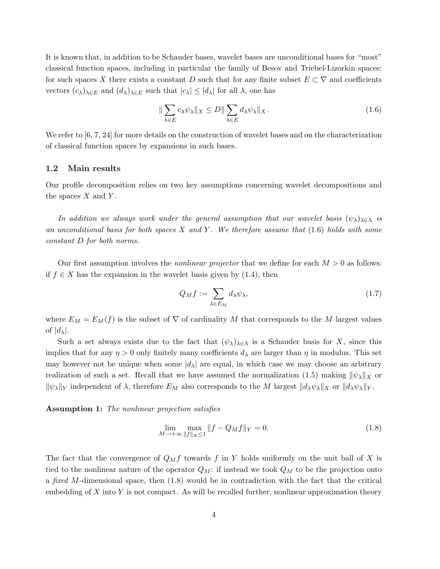It is known that, in addition to be Schauder bases, wavelet bases are unconditional bases for "most" classical function spaces, including in particular the family of Besov and Triebel-Lizorkin spaces: for such spaces X there exists a constant D such that for any finite subset  $E \subset \nabla$  and coefficients vectors  $(c_{\lambda})_{\lambda \in E}$  and  $(d_{\lambda})_{\lambda \in E}$  such that  $|c_{\lambda}| \leq |d_{\lambda}|$  for all  $\lambda$ , one has

$$
\|\sum_{\lambda \in E} c_{\lambda} \psi_{\lambda}\|_{X} \le D \|\sum_{\lambda \in E} d_{\lambda} \psi_{\lambda}\|_{X}.
$$
\n(1.6)

We refer to  $[6, 7, 24]$  for more details on the construction of wavelet bases and on the characterization of classical function spaces by expansions in such bases.

#### 1.2 Main results

Our profile decomposition relies on two key assumptions concerning wavelet decompositions and the spaces  $X$  and  $Y$ .

In addition we always work under the general assumption that our wavelet basis  $(\psi_{\lambda})_{\lambda \in \Lambda}$  is an unconditional basis for both spaces  $X$  and  $Y$ . We therefore assume that  $(1.6)$  holds with some constant D for both norms.

Our first assumption involves the *nonlinear projector* that we define for each  $M > 0$  as follows: if  $f \in X$  has the expansion in the wavelet basis given by (1.4), then

$$
Q_M f := \sum_{\lambda \in E_M} d_{\lambda} \psi_{\lambda},\tag{1.7}
$$

where  $E_M = E_M(f)$  is the subset of  $\nabla$  of cardinality M that corresponds to the M largest values of  $|d_{\lambda}|$ .

Such a set always exists due to the fact that  $(\psi_{\lambda})_{\lambda \in \Lambda}$  is a Schauder basis for X, since this implies that for any  $\eta > 0$  only finitely many coefficients  $d_{\lambda}$  are larger than  $\eta$  in modulus. This set may however not be unique when some  $|d_{\lambda}|$  are equal, in which case we may choose an arbitrary realization of such a set. Recall that we have assumed the normalization (1.5) making  $\|\psi_{\lambda}\|_{X}$  or  $\|\psi_{\lambda}\|_{Y}$  independent of  $\lambda$ , therefore  $E_M$  also corresponds to the M largest  $\|d_{\lambda}\psi_{\lambda}\|_{X}$  or  $\|d_{\lambda}\psi_{\lambda}\|_{Y}$ .

Assumption 1: The nonlinear projection satisfies

$$
\lim_{M \to +\infty} \max_{\|f\|_{X} \le 1} \|f - Q_M f\|_{Y} = 0.
$$
\n(1.8)

The fact that the convergence of  $Q_Mf$  towards f in Y holds uniformly on the unit ball of X is tied to the nonlinear nature of the operator  $Q_M$ : if instead we took  $Q_M$  to be the projection onto a fixed M-dimensional space, then (1.8) would be in contradiction with the fact that the critical embedding of  $X$  into  $Y$  is not compact. As will be recalled further, nonlinear approximation theory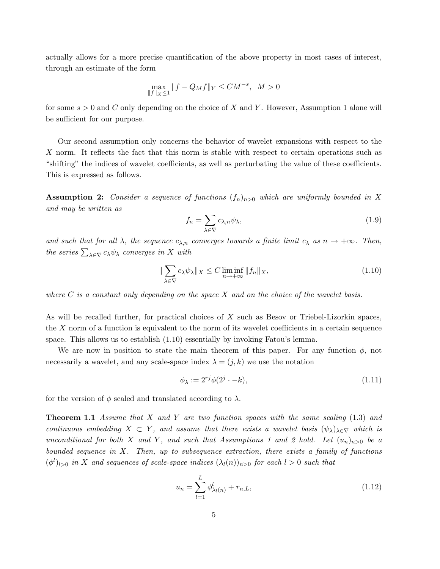actually allows for a more precise quantification of the above property in most cases of interest, through an estimate of the form

$$
\max_{\|f\|_X \le 1} \|f - Q_M f\|_Y \le CM^{-s}, \ M > 0
$$

for some  $s > 0$  and C only depending on the choice of X and Y. However, Assumption 1 alone will be sufficient for our purpose.

Our second assumption only concerns the behavior of wavelet expansions with respect to the  $X$  norm. It reflects the fact that this norm is stable with respect to certain operations such as "shifting" the indices of wavelet coefficients, as well as perturbating the value of these coefficients. This is expressed as follows.

**Assumption 2:** Consider a sequence of functions  $(f_n)_{n>0}$  which are uniformly bounded in X and may be written as

$$
f_n = \sum_{\lambda \in \nabla} c_{\lambda,n} \psi_\lambda,\tag{1.9}
$$

and such that for all  $\lambda$ , the sequence  $c_{\lambda,n}$  converges towards a finite limit  $c_{\lambda}$  as  $n \to +\infty$ . Then, the series  $\sum_{\lambda \in \nabla} c_{\lambda} \psi_{\lambda}$  converges in X with

$$
\|\sum_{\lambda \in \nabla} c_{\lambda} \psi_{\lambda}\|_{X} \le C \liminf_{n \to +\infty} \|f_n\|_{X},\tag{1.10}
$$

where  $C$  is a constant only depending on the space  $X$  and on the choice of the wavelet basis.

As will be recalled further, for practical choices of X such as Besov or Triebel-Lizorkin spaces, the  $X$  norm of a function is equivalent to the norm of its wavelet coefficients in a certain sequence space. This allows us to establish (1.10) essentially by invoking Fatou's lemma.

We are now in position to state the main theorem of this paper. For any function  $\phi$ , not necessarily a wavelet, and any scale-space index  $\lambda = (j, k)$  we use the notation

$$
\phi_{\lambda} := 2^{rj} \phi(2^j \cdot -k), \tag{1.11}
$$

for the version of  $\phi$  scaled and translated according to  $\lambda$ .

**Theorem 1.1** Assume that X and Y are two function spaces with the same scaling  $(1.3)$  and continuous embedding  $X \subset Y$ , and assume that there exists a wavelet basis  $(\psi_{\lambda})_{\lambda \in \nabla}$  which is unconditional for both X and Y, and such that Assumptions 1 and 2 hold. Let  $(u_n)_{n>0}$  be a bounded sequence in  $X$ . Then, up to subsequence extraction, there exists a family of functions  $(\phi^l)_{l>0}$  in X and sequences of scale-space indices  $(\lambda_l(n))_{n>0}$  for each  $l>0$  such that

$$
u_n = \sum_{l=1}^{L} \phi_{\lambda_l(n)}^l + r_{n,L},
$$
\n(1.12)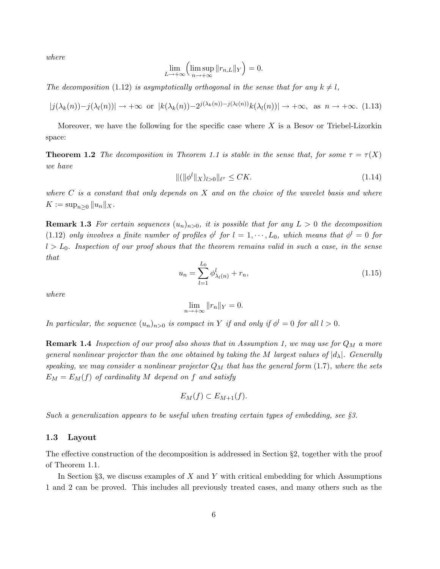where

$$
\lim_{L \to +\infty} \left( \limsup_{n \to +\infty} ||r_{n,L}||_Y \right) = 0.
$$

The decomposition (1.12) is asymptotically orthogonal in the sense that for any  $k \neq l$ ,

$$
|j(\lambda_k(n)) - j(\lambda_l(n))| \to +\infty \text{ or } |k(\lambda_k(n)) - 2^{j(\lambda_k(n)) - j(\lambda_l(n))} k(\lambda_l(n))| \to +\infty, \text{ as } n \to +\infty.
$$
 (1.13)

Moreover, we have the following for the specific case where  $X$  is a Besov or Triebel-Lizorkin space:

**Theorem 1.2** The decomposition in Theorem 1.1 is stable in the sense that, for some  $\tau = \tau(X)$ we have

$$
\|(\|\phi^l\|_X)_{l>0}\|_{\ell^{\tau}} \le CK.\tag{1.14}
$$

where  $C$  is a constant that only depends on  $X$  and on the choice of the wavelet basis and where  $K := \sup_{n>0} ||u_n||_X.$ 

**Remark 1.3** For certain sequences  $(u_n)_{n>0}$ , it is possible that for any  $L > 0$  the decomposition (1.12) only involves a finite number of profiles  $\phi^l$  for  $l = 1, \dots, L_0$ , which means that  $\phi^l = 0$  for  $l > L_0$ . Inspection of our proof shows that the theorem remains valid in such a case, in the sense that

$$
u_n = \sum_{l=1}^{L_0} \phi_{\lambda_l(n)}^l + r_n,
$$
\n(1.15)

where

$$
\lim_{n \to +\infty} ||r_n||_Y = 0.
$$

In particular, the sequence  $(u_n)_{n>0}$  is compact in Y if and only if  $\phi^l = 0$  for all  $l > 0$ .

**Remark 1.4** Inspection of our proof also shows that in Assumption 1, we may use for  $Q_M$  a more general nonlinear projector than the one obtained by taking the M largest values of  $|d_\lambda|$ . Generally speaking, we may consider a nonlinear projector  $Q_M$  that has the general form (1.7), where the sets  $E_M = E_M(f)$  of cardinality M depend on f and satisfy

$$
E_M(f) \subset E_{M+1}(f).
$$

Such a generalization appears to be useful when treating certain types of embedding, see §3.

#### 1.3 Layout

The effective construction of the decomposition is addressed in Section §2, together with the proof of Theorem 1.1.

In Section §3, we discuss examples of  $X$  and  $Y$  with critical embedding for which Assumptions 1 and 2 can be proved. This includes all previously treated cases, and many others such as the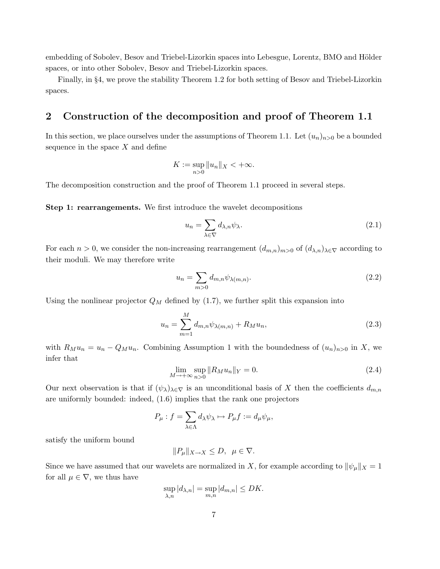embedding of Sobolev, Besov and Triebel-Lizorkin spaces into Lebesgue, Lorentz, BMO and Hölder spaces, or into other Sobolev, Besov and Triebel-Lizorkin spaces.

Finally, in §4, we prove the stability Theorem 1.2 for both setting of Besov and Triebel-Lizorkin spaces.

# 2 Construction of the decomposition and proof of Theorem 1.1

In this section, we place ourselves under the assumptions of Theorem 1.1. Let  $(u_n)_{n>0}$  be a bounded sequence in the space  $X$  and define

$$
K := \sup_{n>0} ||u_n||_X < +\infty.
$$

The decomposition construction and the proof of Theorem 1.1 proceed in several steps.

Step 1: rearrangements. We first introduce the wavelet decompositions

$$
u_n = \sum_{\lambda \in \nabla} d_{\lambda,n} \psi_\lambda.
$$
 (2.1)

For each  $n > 0$ , we consider the non-increasing rearrangement  $(d_{m,n})_{m>0}$  of  $(d_{\lambda,n})_{\lambda\in\nabla}$  according to their moduli. We may therefore write

$$
u_n = \sum_{m>0} d_{m,n} \psi_{\lambda(m,n)}.
$$
\n(2.2)

Using the nonlinear projector  $Q_M$  defined by (1.7), we further split this expansion into

$$
u_n = \sum_{m=1}^{M} d_{m,n} \psi_{\lambda(m,n)} + R_M u_n,
$$
\n(2.3)

with  $R_Mu_n = u_n - Q_Mu_n$ . Combining Assumption 1 with the boundedness of  $(u_n)_{n>0}$  in X, we infer that

$$
\lim_{M \to +\infty} \sup_{n>0} ||R_M u_n||_Y = 0. \tag{2.4}
$$

Our next observation is that if  $(\psi_{\lambda})_{\lambda \in \nabla}$  is an unconditional basis of X then the coefficients  $d_{m,n}$ are uniformly bounded: indeed, (1.6) implies that the rank one projectors

$$
P_{\mu} : f = \sum_{\lambda \in \Lambda} d_{\lambda} \psi_{\lambda} \mapsto P_{\mu} f := d_{\mu} \psi_{\mu},
$$

satisfy the uniform bound

$$
\|P_\mu\|_{X\to X}\leq D,\;\;\mu\in\nabla.
$$

Since we have assumed that our wavelets are normalized in X, for example according to  $\|\psi_\mu\|_X = 1$ for all  $\mu \in \nabla$ , we thus have

$$
\sup_{\lambda,n}|d_{\lambda,n}|=\sup_{m,n}|d_{m,n}|\leq DK.
$$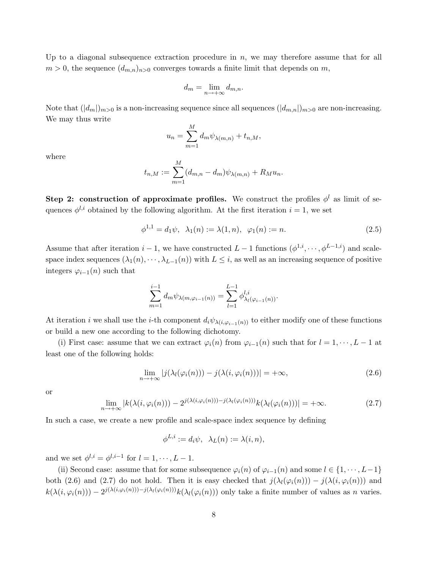Up to a diagonal subsequence extraction procedure in  $n$ , we may therefore assume that for all  $m > 0$ , the sequence  $(d_{m,n})_{n>0}$  converges towards a finite limit that depends on m,

$$
d_m = \lim_{n \to +\infty} d_{m,n}.
$$

Note that  $(|d_m|)_{m>0}$  is a non-increasing sequence since all sequences  $(|d_{m,n}|)_{m>0}$  are non-increasing. We may thus write

$$
u_n = \sum_{m=1}^{M} d_m \psi_{\lambda(m,n)} + t_{n,M},
$$

where

$$
t_{n,M} := \sum_{m=1}^{M} (d_{m,n} - d_m) \psi_{\lambda(m,n)} + R_M u_n.
$$

Step 2: construction of approximate profiles. We construct the profiles  $\phi^l$  as limit of sequences  $\phi^{l,i}$  obtained by the following algorithm. At the first iteration  $i = 1$ , we set

$$
\phi^{1,1} = d_1 \psi, \ \lambda_1(n) := \lambda(1,n), \ \varphi_1(n) := n. \tag{2.5}
$$

Assume that after iteration  $i-1$ , we have constructed  $L-1$  functions  $(\phi^{1,i}, \dots, \phi^{L-1,i})$  and scalespace index sequences  $(\lambda_1(n), \dots, \lambda_{L-1}(n))$  with  $L \leq i$ , as well as an increasing sequence of positive integers  $\varphi_{i-1}(n)$  such that

$$
\sum_{m=1}^{i-1} d_m \psi_{\lambda(m,\varphi_{i-1}(n))} = \sum_{l=1}^{L-1} \phi_{\lambda_l(\varphi_{i-1}(n))}^{l,i}.
$$

At iteration *i* we shall use the *i*-th component  $d_i\psi_{\lambda(i,\varphi_{i-1}(n))}$  to either modify one of these functions or build a new one according to the following dichotomy.

(i) First case: assume that we can extract  $\varphi_i(n)$  from  $\varphi_{i-1}(n)$  such that for  $l = 1, \dots, L-1$  at least one of the following holds:

$$
\lim_{n \to +\infty} |j(\lambda_l(\varphi_i(n))) - j(\lambda(i, \varphi_i(n)))| = +\infty,
$$
\n(2.6)

or

$$
\lim_{n \to +\infty} |k(\lambda(i, \varphi_i(n))) - 2^{j(\lambda(i, \varphi_i(n))) - j(\lambda_l(\varphi_i(n)))} k(\lambda_l(\varphi_i(n)))| = +\infty.
$$
\n(2.7)

In such a case, we create a new profile and scale-space index sequence by defining

$$
\phi^{L,i} := d_i \psi, \ \ \lambda_L(n) := \lambda(i,n),
$$

and we set  $\phi^{l,i} = \phi^{l,i-1}$  for  $l = 1, \dots, L-1$ .

(ii) Second case: assume that for some subsequence  $\varphi_i(n)$  of  $\varphi_{i-1}(n)$  and some  $l \in \{1, \dots, L-1\}$ both (2.6) and (2.7) do not hold. Then it is easy checked that  $j(\lambda_l(\varphi_i(n))) - j(\lambda(i, \varphi_i(n)))$  and  $k(\lambda(i, \varphi_i(n))) - 2^{j(\lambda(i, \varphi_i(n))) - j(\lambda_l(\varphi_i(n)))} k(\lambda_l(\varphi_i(n)))$  only take a finite number of values as n varies.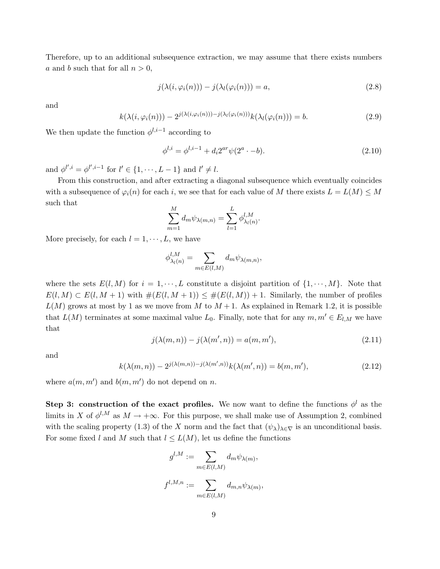Therefore, up to an additional subsequence extraction, we may assume that there exists numbers a and b such that for all  $n > 0$ ,

$$
j(\lambda(i, \varphi_i(n))) - j(\lambda_l(\varphi_i(n))) = a,
$$
\n(2.8)

and

$$
k(\lambda(i,\varphi_i(n))) - 2^{j(\lambda(i,\varphi_i(n))) - j(\lambda_l(\varphi_i(n)))} k(\lambda_l(\varphi_i(n))) = b.
$$
\n(2.9)

We then update the function  $\phi^{l,i-1}$  according to

$$
\phi^{l,i} = \phi^{l,i-1} + d_i 2^{ar} \psi(2^a \cdot -b). \tag{2.10}
$$

and  $\phi^{l',i} = \phi^{l',i-1}$  for  $l' \in \{1, \dots, L-1\}$  and  $l' \neq l$ .

From this construction, and after extracting a diagonal subsequence which eventually coincides with a subsequence of  $\varphi_i(n)$  for each i, we see that for each value of M there exists  $L = L(M) \leq M$ such that

$$
\sum_{m=1}^{M} d_m \psi_{\lambda(m,n)} = \sum_{l=1}^{L} \phi_{\lambda_l(n)}^{l,M}.
$$

More precisely, for each  $l = 1, \dots, L$ , we have

$$
\phi_{\lambda_l(n)}^{l,M} = \sum_{m \in E(l,M)} d_m \psi_{\lambda(m,n)},
$$

where the sets  $E(l, M)$  for  $i = 1, \dots, L$  constitute a disjoint partition of  $\{1, \dots, M\}$ . Note that  $E(l, M) \subset E(l, M + 1)$  with  $\#(E(l, M + 1)) \leq \#(E(l, M)) + 1$ . Similarly, the number of profiles  $L(M)$  grows at most by 1 as we move from M to  $M + 1$ . As explained in Remark 1.2, it is possible that  $L(M)$  terminates at some maximal value  $L_0$ . Finally, note that for any  $m, m' \in E_{l,M}$  we have that

$$
j(\lambda(m,n)) - j(\lambda(m',n)) = a(m,m'),\tag{2.11}
$$

and

$$
k(\lambda(m,n)) - 2^{j(\lambda(m,n)) - j(\lambda(m',n))} k(\lambda(m',n)) = b(m,m'),
$$
\n(2.12)

where  $a(m, m')$  and  $b(m, m')$  do not depend on n.

Step 3: construction of the exact profiles. We now want to define the functions  $\phi^l$  as the limits in X of  $\phi^{l,M}$  as  $M \to +\infty$ . For this purpose, we shall make use of Assumption 2, combined with the scaling property (1.3) of the X norm and the fact that  $(\psi_{\lambda})_{\lambda \in \nabla}$  is an unconditional basis. For some fixed l and M such that  $l \leq L(M)$ , let us define the functions

$$
g^{l,M} := \sum_{m \in E(l,M)} d_m \psi_{\lambda(m)},
$$
  

$$
f^{l,M,n} := \sum_{m \in E(l,M)} d_{m,n} \psi_{\lambda(m)},
$$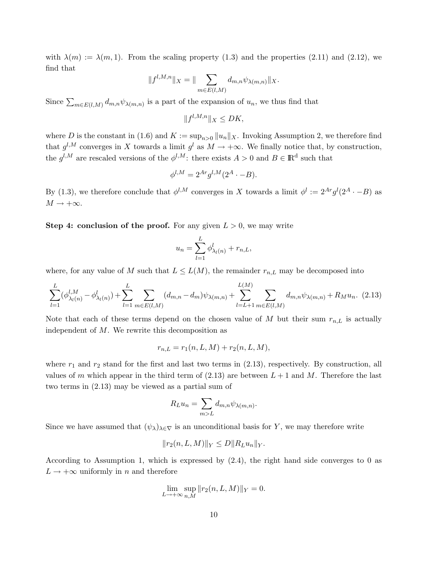with  $\lambda(m) := \lambda(m, 1)$ . From the scaling property (1.3) and the properties (2.11) and (2.12), we find that

$$
||f^{l,M,n}||_X = ||\sum_{m \in E(l,M)} d_{m,n} \psi_{\lambda(m,n)}||_X.
$$

Since  $\sum_{m\in E(l,M)} d_{m,n}\psi_{\lambda(m,n)}$  is a part of the expansion of  $u_n$ , we thus find that

$$
||f^{l,M,n}||_X \le DK,
$$

where D is the constant in (1.6) and  $K := \sup_{n>0} ||u_n||_X$ . Invoking Assumption 2, we therefore find that  $g^{l,M}$  converges in X towards a limit  $g^l$  as  $M \to +\infty$ . We finally notice that, by construction, the  $g^{l,M}$  are rescaled versions of the  $\phi^{l,M}$ : there exists  $A > 0$  and  $B \in \mathbb{R}^d$  such that

$$
\phi^{l,M} = 2^{Ar} g^{l,M} (2^A \cdot -B).
$$

By (1.3), we therefore conclude that  $\phi^{l,M}$  converges in X towards a limit  $\phi^l := 2^{Ar} g^l(2^A \cdot -B)$  as  $M \to +\infty$ .

Step 4: conclusion of the proof. For any given  $L > 0$ , we may write

$$
u_n = \sum_{l=1}^L \phi_{\lambda_l(n)}^l + r_{n,L},
$$

where, for any value of M such that  $L \leq L(M)$ , the remainder  $r_{n,L}$  may be decomposed into

$$
\sum_{l=1}^{L} (\phi_{\lambda_l(n)}^{l,M} - \phi_{\lambda_l(n)}^l) + \sum_{l=1}^{L} \sum_{m \in E(l,M)} (d_{m,n} - d_m) \psi_{\lambda(m,n)} + \sum_{l=L+1}^{L(M)} \sum_{m \in E(l,M)} d_{m,n} \psi_{\lambda(m,n)} + R_M u_n. (2.13)
$$

Note that each of these terms depend on the chosen value of  $M$  but their sum  $r_{n,L}$  is actually independent of  $M$ . We rewrite this decomposition as

$$
r_{n,L} = r_1(n, L, M) + r_2(n, L, M),
$$

where  $r_1$  and  $r_2$  stand for the first and last two terms in (2.13), respectively. By construction, all values of m which appear in the third term of  $(2.13)$  are between  $L + 1$  and M. Therefore the last two terms in (2.13) may be viewed as a partial sum of

$$
R_L u_n = \sum_{m>L} d_{m,n} \psi_{\lambda(m,n)}.
$$

Since we have assumed that  $(\psi_{\lambda})_{\lambda \in \nabla}$  is an unconditional basis for Y, we may therefore write

$$
||r_2(n, L, M)||_Y \le D||R_L u_n||_Y.
$$

According to Assumption 1, which is expressed by  $(2.4)$ , the right hand side converges to 0 as  $L \rightarrow +\infty$  uniformly in n and therefore

$$
\lim_{L \to +\infty} \sup_{n,M} ||r_2(n, L, M)||_Y = 0.
$$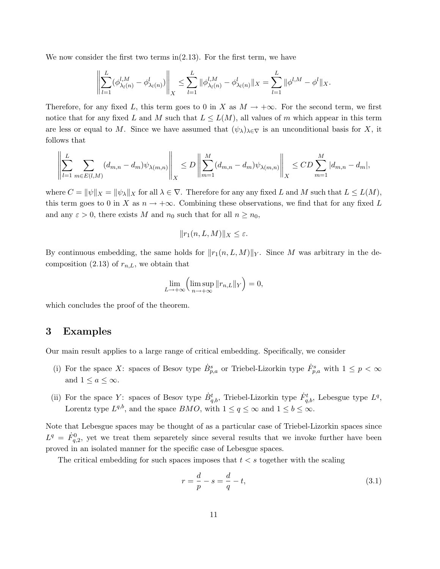We now consider the first two terms in(2.13). For the first term, we have

$$
\left\| \sum_{l=1}^{L} (\phi_{\lambda_l(n)}^{l,M} - \phi_{\lambda_l(n)}^{l}) \right\|_X \le \sum_{l=1}^{L} \|\phi_{\lambda_l(n)}^{l,M} - \phi_{\lambda_l(n)}^{l}\|_X = \sum_{l=1}^{L} \|\phi^{l,M} - \phi^{l}\|_X.
$$

Therefore, for any fixed L, this term goes to 0 in X as  $M \to +\infty$ . For the second term, we first notice that for any fixed L and M such that  $L \leq L(M)$ , all values of m which appear in this term are less or equal to M. Since we have assumed that  $(\psi_{\lambda})_{\lambda \in \nabla}$  is an unconditional basis for X, it follows that

$$
\left\| \sum_{l=1}^{L} \sum_{m \in E(l,M)} (d_{m,n} - d_m) \psi_{\lambda(m,n)} \right\|_{X} \le D \left\| \sum_{m=1}^{M} (d_{m,n} - d_m) \psi_{\lambda(m,n)} \right\|_{X} \le CD \sum_{m=1}^{M} |d_{m,n} - d_m|,
$$

where  $C = ||\psi||_X = ||\psi_{\lambda}||_X$  for all  $\lambda \in \nabla$ . Therefore for any any fixed L and M such that  $L \leq L(M)$ , this term goes to 0 in X as  $n \to +\infty$ . Combining these observations, we find that for any fixed L and any  $\varepsilon > 0$ , there exists M and  $n_0$  such that for all  $n \geq n_0$ ,

$$
||r_1(n, L, M)||_X \le \varepsilon.
$$

By continuous embedding, the same holds for  $||r_1(n, L, M)||_Y$ . Since M was arbitrary in the decomposition (2.13) of  $r_{n,L}$ , we obtain that

$$
\lim_{L \to +\infty} \left( \limsup_{n \to +\infty} ||r_{n,L}||_Y \right) = 0,
$$

which concludes the proof of the theorem.

## 3 Examples

Our main result applies to a large range of critical embedding. Specifically, we consider

- (i) For the space X: spaces of Besov type  $\dot{B}_{p,q}^s$  or Triebel-Lizorkin type  $\dot{F}_{p,q}^s$  with  $1 \leq p < \infty$ and  $1 \leq a \leq \infty$ .
- (ii) For the space Y: spaces of Besov type  $\dot{B}^t_{q,b}$ , Triebel-Lizorkin type  $\dot{F}^t_{q,b}$ , Lebesgue type  $L^q$ , Lorentz type  $L^{q,b}$ , and the space  $BMO$ , with  $1 \leq q \leq \infty$  and  $1 \leq b \leq \infty$ .

Note that Lebesgue spaces may be thought of as a particular case of Triebel-Lizorkin spaces since  $L^q = \dot{F}_{q,2}^0$ , yet we treat them separetely since several results that we invoke further have been proved in an isolated manner for the specific case of Lebesgue spaces.

The critical embedding for such spaces imposes that  $t < s$  together with the scaling

$$
r = \frac{d}{p} - s = \frac{d}{q} - t,\tag{3.1}
$$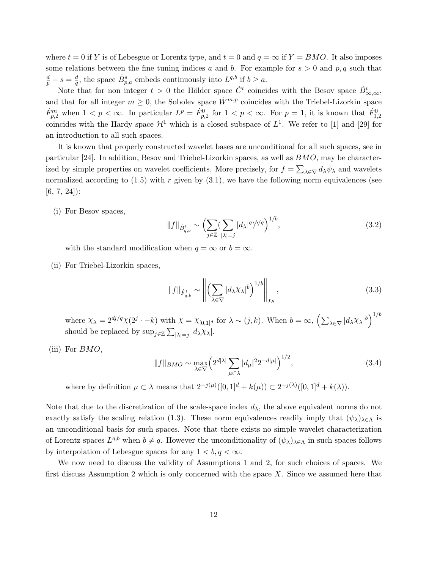where  $t = 0$  if Y is of Lebesgue or Lorentz type, and  $t = 0$  and  $q = \infty$  if  $Y = BMO$ . It also imposes some relations between the fine tuning indices a and b. For example for  $s > 0$  and p, q such that  $\frac{d}{p}-s=\frac{d}{q}$  $\frac{d}{q}$ , the space  $\dot{B}^s_{p,q}$  embeds continuously into  $L^{q,b}$  if  $b \geq a$ .

Note that for non integer  $t > 0$  the Hölder space  $\dot{C}^t$  coincides with the Besov space  $\dot{B}^t_{\infty,\infty}$ , and that for all integer  $m \geq 0$ , the Sobolev space  $\dot{W}^{m,p}$  coincides with the Triebel-Lizorkin space  $\dot{F}_{p,2}^m$  when  $1 < p < \infty$ . In particular  $L^p = \dot{F}_{p,2}^0$  for  $1 < p < \infty$ . For  $p = 1$ , it is known that  $\dot{F}_{1,2}^0$ coincides with the Hardy space  $\mathcal{H}^1$  which is a closed subspace of  $L^1$ . We refer to [1] and [29] for an introduction to all such spaces.

It is known that properly constructed wavelet bases are unconditional for all such spaces, see in particular [24]. In addition, Besov and Triebel-Lizorkin spaces, as well as BMO, may be characterized by simple properties on wavelet coefficients. More precisely, for  $f = \sum_{\lambda \in \nabla} d_{\lambda} \psi_{\lambda}$  and wavelets normalized according to  $(1.5)$  with r given by  $(3.1)$ , we have the following norm equivalences (see  $[6, 7, 24]$ :

(i) For Besov spaces,

$$
||f||_{\dot{B}^t_{q,b}} \sim \left(\sum_{j\in\mathbb{Z}}\left(\sum_{|\lambda|=j}|d_{\lambda}|^{q}\right)^{b/q}\right)^{1/b},\tag{3.2}
$$

with the standard modification when  $q = \infty$  or  $b = \infty$ .

(ii) For Triebel-Lizorkin spaces,

$$
||f||_{\dot{F}^t_{q,b}} \sim \left\| \left( \sum_{\lambda \in \nabla} |d_{\lambda} \chi_{\lambda}|^{b} \right)^{1/b} \right\|_{L^q}, \tag{3.3}
$$

where  $\chi_{\lambda} = 2^{dj/q} \chi(2^{j} \cdot -k)$  with  $\chi = \chi_{[0,1]^d}$  for  $\lambda \sim (j,k)$ . When  $b = \infty$ ,  $\left(\sum_{\lambda \in \nabla} |d_{\lambda} \chi_{\lambda}|^{b}\right)^{1/b}$ should be replaced by  $\sup_{j\in\mathbb{Z}}\sum_{|\lambda|=j}|d_{\lambda}\chi_{\lambda}|.$ 

(iii) For  $BMO$ ,

$$
||f||_{BMO} \sim \max_{\lambda \in \nabla} \left( 2^{d|\lambda|} \sum_{\mu \subset \lambda} |d_{\mu}|^2 2^{-d|\mu|} \right)^{1/2},\tag{3.4}
$$

where by definition  $\mu \subset \lambda$  means that  $2^{-j(\mu)}([0,1]^d + k(\mu)) \subset 2^{-j(\lambda)}([0,1]^d + k(\lambda)).$ 

Note that due to the discretization of the scale-space index  $d<sub>\lambda</sub>$ , the above equivalent norms do not exactly satisfy the scaling relation (1.3). These norm equivalences readily imply that  $(\psi_{\lambda})_{\lambda \in \Lambda}$  is an unconditional basis for such spaces. Note that there exists no simple wavelet characterization of Lorentz spaces  $L^{q,b}$  when  $b \neq q$ . However the unconditionality of  $(\psi_{\lambda})_{\lambda \in \Lambda}$  in such spaces follows by interpolation of Lebesgue spaces for any  $1 < b, q < \infty$ .

We now need to discuss the validity of Assumptions 1 and 2, for such choices of spaces. We first discuss Assumption 2 which is only concerned with the space  $X$ . Since we assumed here that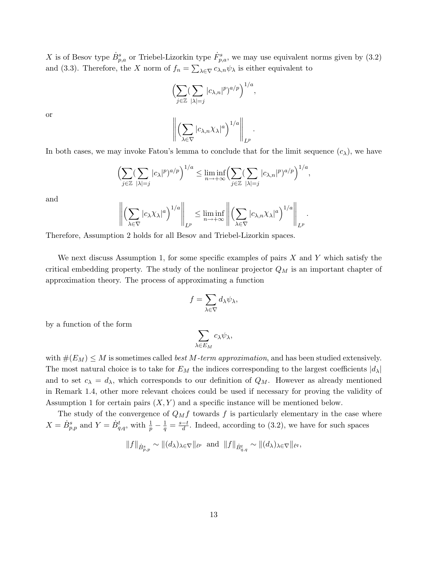X is of Besov type  $\dot{B}_{p,a}^s$  or Triebel-Lizorkin type  $\dot{F}_{p,a}^s$ , we may use equivalent norms given by  $(3.2)$ and (3.3). Therefore, the X norm of  $f_n = \sum_{\lambda \in \nabla} c_{\lambda,n} \psi_\lambda$  is either equivalent to

$$
\left(\sum_{j\in\mathbb{Z}}\left(\sum_{|\lambda|=j}|c_{\lambda,n}|^{p}\right)^{a/p}\right)^{1/a},\
$$

$$
\left\|\left(\sum_{\lambda\in\nabla}|c_{\lambda,n}\chi_{\lambda}|^{a}\right)^{1/a}\right\|_{L^{p}}.
$$

or

In both cases, we may invoke Fatou's lemma to conclude that for the limit sequence  $(c_{\lambda})$ , we have

$$
\left(\sum_{j\in\mathbb{Z}}\left(\sum_{|\lambda|=j}|c_{\lambda}|^{p}\right)^{a/p}\right)^{1/a}\leq \liminf_{n\to+\infty}\left(\sum_{j\in\mathbb{Z}}\left(\sum_{|\lambda|=j}|c_{\lambda,n}|^{p}\right)^{a/p}\right)^{1/a},
$$

and

$$
\left\| \left( \sum_{\lambda \in \nabla} |c_{\lambda} \chi_{\lambda}|^{a} \right)^{1/a} \right\|_{L^{p}} \le \liminf_{n \to +\infty} \left\| \left( \sum_{\lambda \in \nabla} |c_{\lambda,n} \chi_{\lambda}|^{a} \right)^{1/a} \right\|_{L^{p}}
$$

.

Therefore, Assumption 2 holds for all Besov and Triebel-Lizorkin spaces.

We next discuss Assumption 1, for some specific examples of pairs  $X$  and  $Y$  which satisfy the critical embedding property. The study of the nonlinear projector  $Q_M$  is an important chapter of approximation theory. The process of approximating a function

$$
f=\sum_{\lambda\in\nabla}d_\lambda\psi_\lambda,
$$

by a function of the form

$$
\sum_{\lambda \in E_M} c_{\lambda} \psi_{\lambda},
$$

with  $\#(E_M) \leq M$  is sometimes called *best M-term approximation*, and has been studied extensively. The most natural choice is to take for  $E_M$  the indices corresponding to the largest coefficients  $|d_\lambda|$ and to set  $c_{\lambda} = d_{\lambda}$ , which corresponds to our definition of  $Q_M$ . However as already mentioned in Remark 1.4, other more relevant choices could be used if necessary for proving the validity of Assumption 1 for certain pairs  $(X, Y)$  and a specific instance will be mentioned below.

The study of the convergence of  $Q_Mf$  towards f is particularly elementary in the case where  $X = \dot{B}_{p,p}^s$  and  $Y = \dot{B}_{q,q}^t$ , with  $\frac{1}{p} - \frac{1}{q} = \frac{s-t}{d}$  $\frac{-t}{d}$ . Indeed, according to (3.2), we have for such spaces

$$
||f||_{\dot{B}^s_{p,p}} \sim ||(d_\lambda)_{\lambda \in \nabla}||_{\ell^p} \text{ and } ||f||_{\dot{B}^t_{q,q}} \sim ||(d_\lambda)_{\lambda \in \nabla}||_{\ell^q},
$$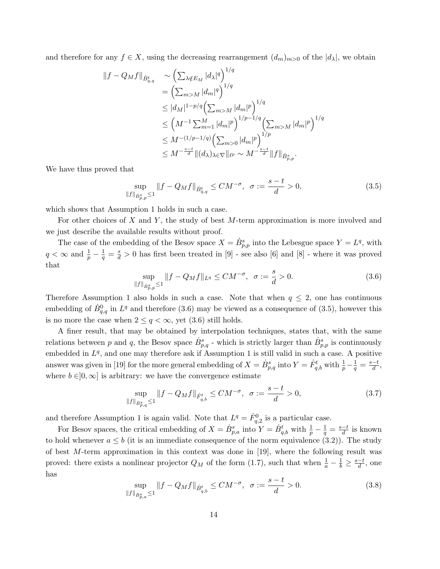and therefore for any  $f \in X$ , using the decreasing rearrangement  $(d_m)_{m>0}$  of the  $|d_\lambda|$ , we obtain

$$
\|f - Q_M f\|_{\dot{B}^t_{q,q}} \sim \left(\sum_{\lambda \notin E_M} |d_\lambda|^q\right)^{1/q}
$$
  
\n
$$
= \left(\sum_{m>M} |d_m|^q\right)^{1/q}
$$
  
\n
$$
\leq |d_M|^{1-p/q} \left(\sum_{m>M} |d_m|^p\right)^{1/q}
$$
  
\n
$$
\leq \left(M^{-1} \sum_{m=1}^M |d_m|^p\right)^{1/p-1/q} \left(\sum_{m>M} |d_m|^p\right)^{1/q}
$$
  
\n
$$
\leq M^{-(1/p-1/q)} \left(\sum_{m>0} |d_m|^p\right)^{1/p}
$$
  
\n
$$
\leq M^{-\frac{s-t}{d}} \|(d_\lambda)_{\lambda \in \nabla} \|_{\ell^p} \sim M^{-\frac{s-t}{d}} \|f\|_{\dot{B}^s_{p,p}}.
$$

We have thus proved that

$$
\sup_{\|f\|_{\dot{B}^s_{p,p}} \le 1} \|f - Q_M f\|_{\dot{B}^t_{q,q}} \le CM^{-\sigma}, \ \ \sigma := \frac{s-t}{d} > 0,
$$
\n(3.5)

which shows that Assumption 1 holds in such a case.

For other choices of X and Y, the study of best  $M$ -term approximation is more involved and we just describe the available results without proof.

The case of the embedding of the Besov space  $X = \dot{B}_{p,p}^s$  into the Lebesgue space  $Y = L^q$ , with  $q < \infty$  and  $\frac{1}{p} - \frac{1}{q} = \frac{s}{d} > 0$  has first been treated in [9] - see also [6] and [8] - where it was proved that

$$
\sup_{\|f\|_{\dot{B}^s_{p,p}} \le 1} \|f - Q_M f\|_{L^q} \le CM^{-\sigma}, \ \ \sigma := \frac{s}{d} > 0. \tag{3.6}
$$

Therefore Assumption 1 also holds in such a case. Note that when  $q \leq 2$ , one has continuous embedding of  $\dot{B}^0_{q,q}$  in  $L^q$  and therefore (3.6) may be viewed as a consequence of (3.5), however this is no more the case when  $2 \leq q < \infty$ , yet (3.6) still holds.

A finer result, that may be obtained by interpolation techniques, states that, with the same relations between p and q, the Besov space  $\dot{B}_{p,q}^s$  - which is strictly larger than  $\dot{B}_{p,p}^s$  is continuously embedded in  $L^q$ , and one may therefore ask if Assumption 1 is still valid in such a case. A positive answer was given in [19] for the more general embedding of  $X = \dot{B}_{p,q}^s$  into  $Y = \dot{F}_{q,b}^t$  with  $\frac{1}{p} - \frac{1}{q} = \frac{s-t}{d}$  $\frac{-t}{d}$ , where  $b \in ]0, \infty]$  is arbitrary: we have the convergence estimate

$$
\sup_{\|f\|_{\dot{B}^s_{p,q}} \le 1} \|f - Q_M f\|_{\dot{F}^t_{q,b}} \le CM^{-\sigma}, \ \ \sigma := \frac{s-t}{d} > 0,
$$
\n(3.7)

and therefore Assumption 1 is again valid. Note that  $L^q = \dot{F}_{q,2}^0$  is a particular case.

For Besov spaces, the critical embedding of  $X = \dot{B}_{p,a}^s$  into  $Y = \dot{B}_{q,b}^t$  with  $\frac{1}{p} - \frac{1}{q} = \frac{s-t}{d}$  $\frac{-t}{d}$  is known to hold whenever  $a \leq b$  (it is an immediate consequence of the norm equivalence (3.2)). The study of best  $M$ -term approximation in this context was done in [19], where the following result was proved: there exists a nonlinear projector  $Q_M$  of the form (1.7), such that when  $\frac{1}{a} - \frac{1}{b} \ge \frac{s-t}{d}$  $\frac{-t}{d}$ , one has

$$
\sup_{\|f\|_{\dot{B}^s_{p,a}} \le 1} \|f - Q_M f\|_{\dot{B}^t_{q,b}} \le CM^{-\sigma}, \ \ \sigma := \frac{s-t}{d} > 0. \tag{3.8}
$$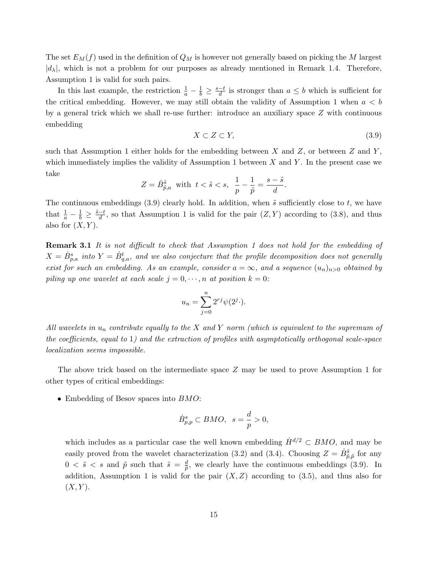The set  $E_M(f)$  used in the definition of  $Q_M$  is however not generally based on picking the M largest  $|d_{\lambda}|$ , which is not a problem for our purposes as already mentioned in Remark 1.4. Therefore, Assumption 1 is valid for such pairs.

In this last example, the restriction  $\frac{1}{a} - \frac{1}{b} \geq \frac{s-t}{d}$  $\frac{-t}{d}$  is stronger than  $a \leq b$  which is sufficient for the critical embedding. However, we may still obtain the validity of Assumption 1 when  $a < b$ by a general trick which we shall re-use further: introduce an auxiliary space Z with continuous embedding

$$
X \subset Z \subset Y,\tag{3.9}
$$

such that Assumption 1 either holds for the embedding between  $X$  and  $Z$ , or between  $Z$  and  $Y$ , which immediately implies the validity of Assumption 1 between  $X$  and  $Y$ . In the present case we take

$$
Z=\dot{B}_{\tilde{p},a}^{\tilde{s}}~~\text{with}~~t<\tilde{s}
$$

The continuous embeddings (3.9) clearly hold. In addition, when  $\tilde{s}$  sufficiently close to t, we have that  $\frac{1}{a} - \frac{1}{b} \geq \frac{\tilde{s}-t}{d}$  $\frac{-t}{d}$ , so that Assumption 1 is valid for the pair  $(Z, Y)$  according to  $(3.8)$ , and thus also for  $(X, Y)$ .

**Remark 3.1** It is not difficult to check that Assumption 1 does not hold for the embedding of  $X = \dot{B}_{p,a}^s$  into  $Y = \dot{B}_{q,a}^t$ , and we also conjecture that the profile decomposition does not generally exist for such an embedding. As an example, consider  $a = \infty$ , and a sequence  $(u_n)_{n>0}$  obtained by piling up one wavelet at each scale  $j = 0, \dots, n$  at position  $k = 0$ :

$$
u_n = \sum_{j=0}^n 2^{rj} \psi(2^j \cdot).
$$

All wavelets in  $u_n$  contribute equally to the X and Y norm (which is equivalent to the supremum of the coefficients, equal to 1) and the extraction of profiles with asymptotically orthogonal scale-space localization seems impossible.

The above trick based on the intermediate space Z may be used to prove Assumption 1 for other types of critical embeddings:

• Embedding of Besov spaces into  $BMO$ :

$$
\dot{B}^s_{p,p} \subset BMO, \ \ s = \frac{d}{p} > 0,
$$

which includes as a particular case the well known embedding  $\dot{H}^{d/2} \subset BMO$ , and may be easily proved from the wavelet characterization (3.2) and (3.4). Choosing  $Z = \dot{B}_{\tilde{p},\tilde{p}}^{\tilde{s}}$  for any  $0 \lt \tilde{s} \lt s$  and  $\tilde{p}$  such that  $\tilde{s} = \frac{d}{\tilde{p}}$  $\frac{d}{\tilde{p}}$ , we clearly have the continuous embeddings (3.9). In addition, Assumption 1 is valid for the pair  $(X, Z)$  according to (3.5), and thus also for  $(X, Y)$ .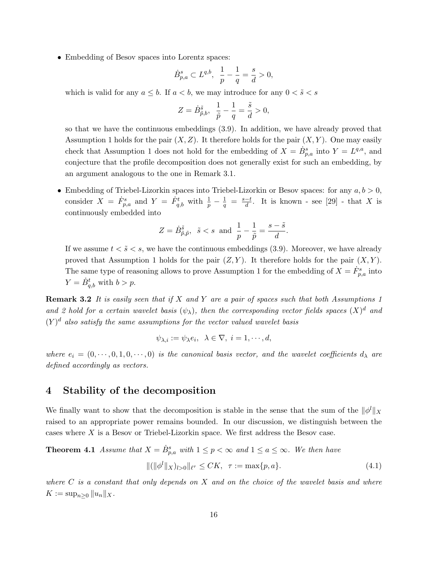• Embedding of Besov spaces into Lorentz spaces:

$$
\dot{B}^s_{p,a} \subset L^{q,b}, \ \ \frac{1}{p} - \frac{1}{q} = \frac{s}{d} > 0,
$$

which is valid for any  $a \leq b$ . If  $a < b$ , we may introduce for any  $0 < \tilde{s} < s$ 

$$
Z = \dot{B}_{\tilde{p},b}^{\tilde{s}}, \ \ \frac{1}{\tilde{p}} - \frac{1}{q} = \frac{\tilde{s}}{d} > 0,
$$

so that we have the continuous embeddings (3.9). In addition, we have already proved that Assumption 1 holds for the pair  $(X, Z)$ . It therefore holds for the pair  $(X, Y)$ . One may easily check that Assumption 1 does not hold for the embedding of  $X = \dot{B}_{p,a}^s$  into  $Y = L^{q,a}$ , and conjecture that the profile decomposition does not generally exist for such an embedding, by an argument analogous to the one in Remark 3.1.

• Embedding of Triebel-Lizorkin spaces into Triebel-Lizorkin or Besov spaces: for any  $a, b > 0$ , consider  $X = \dot{F}_{p,a}^s$  and  $Y = \dot{F}_{q,b}^t$  with  $\frac{1}{p} - \frac{1}{q} = \frac{s-t}{d}$  $\frac{-t}{d}$ . It is known - see [29] - that X is continuously embedded into

$$
Z = \dot{B}_{\tilde{p},\tilde{p}}^{\tilde{s}}, \quad \tilde{s} < s \quad \text{and} \quad \frac{1}{p} - \frac{1}{\tilde{p}} = \frac{s - \tilde{s}}{d}.
$$

If we assume  $t < \tilde{s} < s$ , we have the continuous embeddings (3.9). Moreover, we have already proved that Assumption 1 holds for the pair  $(Z, Y)$ . It therefore holds for the pair  $(X, Y)$ . The same type of reasoning allows to prove Assumption 1 for the embedding of  $X = \dot{F}_{p,a}^s$  into  $Y = \dot{B}_{q,b}^t$  with  $b > p$ .

**Remark 3.2** It is easily seen that if X and Y are a pair of spaces such that both Assumptions 1 and 2 hold for a certain wavelet basis  $(\psi_{\lambda})$ , then the corresponding vector fields spaces  $(X)^d$  and  $(Y)^d$  also satisfy the same assumptions for the vector valued wavelet basis

$$
\psi_{\lambda,i} := \psi_{\lambda} e_i, \ \ \lambda \in \nabla, \ i = 1, \cdots, d,
$$

where  $e_i = (0, \dots, 0, 1, 0, \dots, 0)$  is the canonical basis vector, and the wavelet coefficients  $d_{\lambda}$  are defined accordingly as vectors.

# 4 Stability of the decomposition

We finally want to show that the decomposition is stable in the sense that the sum of the  $\|\phi^l\|_X$ raised to an appropriate power remains bounded. In our discussion, we distinguish between the cases where X is a Besov or Triebel-Lizorkin space. We first address the Besov case.

**Theorem 4.1** Assume that  $X = \dot{B}_{p,a}^s$  with  $1 \leq p < \infty$  and  $1 \leq a \leq \infty$ . We then have

$$
\| (\|\phi^l\|_X)_{l>0} \|_{\ell^{\tau}} \leq CK, \quad \tau := \max\{p, a\}. \tag{4.1}
$$

where  $C$  is a constant that only depends on  $X$  and on the choice of the wavelet basis and where  $K := \sup_{n \geq 0} ||u_n||_X.$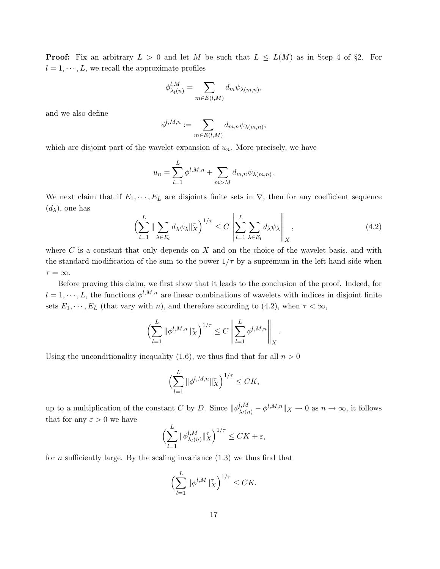**Proof:** Fix an arbitrary  $L > 0$  and let M be such that  $L \le L(M)$  as in Step 4 of §2. For  $l = 1, \dots, L$ , we recall the approximate profiles

$$
\phi_{\lambda_l(n)}^{l,M} = \sum_{m \in E(l,M)} d_m \psi_{\lambda(m,n)},
$$

and we also define

$$
\phi^{l,M,n}:=\sum_{m\in E(l,M)}d_{m,n}\psi_{\lambda(m,n)},
$$

which are disjoint part of the wavelet expansion of  $u_n$ . More precisely, we have

$$
u_n = \sum_{l=1}^L \phi^{l,M,n} + \sum_{m>M} d_{m,n} \psi_{\lambda(m,n)}.
$$

We next claim that if  $E_1, \dots, E_L$  are disjoints finite sets in  $\nabla$ , then for any coefficient sequence  $(d_{\lambda})$ , one has  $\mathbf{u}$ 

$$
\left(\sum_{l=1}^{L} \|\sum_{\lambda \in E_l} d_{\lambda} \psi_{\lambda} \|_{X}^{\tau}\right)^{1/\tau} \leq C \left\|\sum_{l=1}^{L} \sum_{\lambda \in E_l} d_{\lambda} \psi_{\lambda}\right\|_{X},\tag{4.2}
$$

where  $C$  is a constant that only depends on  $X$  and on the choice of the wavelet basis, and with the standard modification of the sum to the power  $1/\tau$  by a supremum in the left hand side when  $\tau = \infty$ .

Before proving this claim, we first show that it leads to the conclusion of the proof. Indeed, for  $l = 1, \dots, L$ , the functions  $\phi^{l,M,n}$  are linear combinations of wavelets with indices in disjoint finite sets  $E_1, \dots, E_L$  (that vary with n), and therefore according to (4.2), when  $\tau < \infty$ ,

$$
\left(\sum_{l=1}^{L} \|\phi^{l,M,n}\|_{X}^{r}\right)^{1/\tau} \leq C \left\|\sum_{l=1}^{L} \phi^{l,M,n}\right\|_{X}.
$$

Using the unconditionality inequality (1.6), we thus find that for all  $n > 0$ 

$$
\Bigl(\sum_{l=1}^L\|\phi^{l,M,n}\|_X^{\tau}\Bigr)^{1/\tau}\leq CK,
$$

up to a multiplication of the constant C by D. Since  $\|\phi_{\lambda_l(n)}^{l,M} - \phi^{l,M,n}\|_X \to 0$  as  $n \to \infty$ , it follows that for any  $\varepsilon > 0$  we have

$$
\left(\sum_{l=1}^L \|\phi_{\lambda_l(n)}^{l,M}\|_X^{\tau}\right)^{1/\tau} \leq CK + \varepsilon,
$$

for *n* sufficiently large. By the scaling invariance  $(1.3)$  we thus find that

$$
\left(\sum_{l=1}^L \|\phi^{l,M}\|_X^{\tau}\right)^{1/\tau} \leq CK.
$$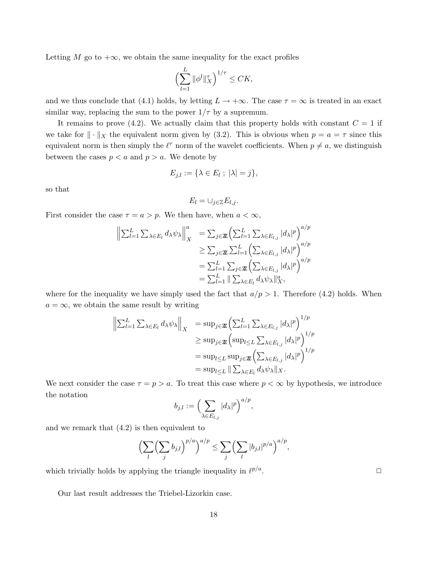Letting M go to  $+\infty$ , we obtain the same inequality for the exact profiles

$$
\left(\sum_{l=1}^L \|\phi^l\|_X^{\tau}\right)^{1/\tau} \leq CK,
$$

and we thus conclude that (4.1) holds, by letting  $L \to +\infty$ . The case  $\tau = \infty$  is treated in an exact similar way, replacing the sum to the power  $1/\tau$  by a supremum.

It remains to prove (4.2). We actually claim that this property holds with constant  $C = 1$  if we take for  $\|\cdot\|_X$  the equivalent norm given by (3.2). This is obvious when  $p = a = \tau$  since this equivalent norm is then simply the  $\ell^{\tau}$  norm of the wavelet coefficients. When  $p \neq a$ , we distinguish between the cases  $p < a$  and  $p > a$ . We denote by

$$
E_{j,l} := \{ \lambda \in E_l ; \ |\lambda| = j \},\
$$

so that

$$
E_l=\cup_{j\in\mathbb{Z}}E_{l,j}.
$$

First consider the case  $\tau = a > p$ . We then have, when  $a < \infty$ ,

$$
\left\| \sum_{l=1}^{L} \sum_{\lambda \in E_l} d_{\lambda} \psi_{\lambda} \right\|_{X}^{a} = \sum_{j \in \mathbb{Z}} \left( \sum_{l=1}^{L} \sum_{\lambda \in E_{l,j}} |d_{\lambda}|^{p} \right)^{a/p}
$$
  
\n
$$
\geq \sum_{j \in \mathbb{Z}} \sum_{l=1}^{L} \left( \sum_{\lambda \in E_{l,j}} |d_{\lambda}|^{p} \right)^{a/p}
$$
  
\n
$$
= \sum_{l=1}^{L} \sum_{j \in \mathbb{Z}} \left( \sum_{\lambda \in E_{l,j}} |d_{\lambda}|^{p} \right)^{a/p}
$$
  
\n
$$
= \sum_{l=1}^{L} \|\sum_{\lambda \in E_l} d_{\lambda} \psi_{\lambda}\|_{X}^{a},
$$

where for the inequality we have simply used the fact that  $a/p > 1$ . Therefore (4.2) holds. When  $a = \infty$ , we obtain the same result by writing

$$
\left\| \sum_{l=1}^{L} \sum_{\lambda \in E_l} d_{\lambda} \psi_{\lambda} \right\|_{X} = \sup_{j \in \mathbb{Z}} \left( \sum_{l=1}^{L} \sum_{\lambda \in E_{l,j}} |d_{\lambda}|^{p} \right)^{1/p}
$$
  
\n
$$
\geq \sup_{j \in \mathbb{Z}} \left( \sup_{l \leq L} \sum_{\lambda \in E_{l,j}} |d_{\lambda}|^{p} \right)^{1/p}
$$
  
\n
$$
= \sup_{l \leq L} \sup_{j \in \mathbb{Z}} \left( \sum_{\lambda \in E_{l,j}} |d_{\lambda}|^{p} \right)^{1/p}
$$
  
\n
$$
= \sup_{l \leq L} \|\sum_{\lambda \in E_l} d_{\lambda} \psi_{\lambda}\|_{X}.
$$

We next consider the case  $\tau = p > a$ . To treat this case where  $p < \infty$  by hypothesis, we introduce the notation

$$
b_{j,l} := \left(\sum_{\lambda \in E_{l,j}} |d_{\lambda}|^p\right)^{a/p},
$$

and we remark that (4.2) is then equivalent to

$$
\left(\sum_{l}\left(\sum_{j}b_{j,l}\right)^{p/a}\right)^{a/p} \leq \sum_{j}\left(\sum_{l}|b_{j,l}|^{p/a}\right)^{a/p},
$$

which trivially holds by applying the triangle inequality in  $\ell^{p/a}$ 

.  $\Box$ 

Our last result addresses the Triebel-Lizorkin case.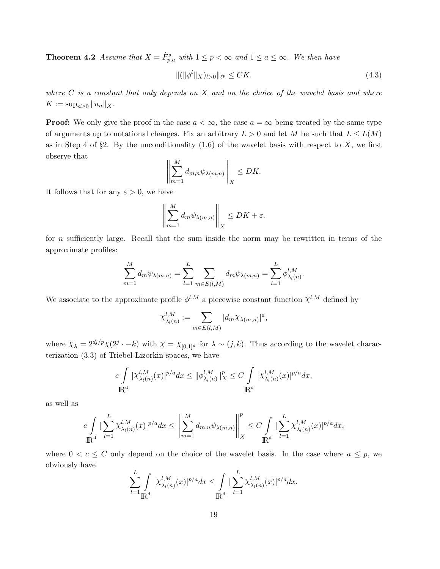**Theorem 4.2** Assume that  $X = \dot{F}_{p,a}^s$  with  $1 \leq p < \infty$  and  $1 \leq a \leq \infty$ . We then have

$$
\|(\|\phi^l\|_X)_{l>0}\|_{\ell^p} \le CK.\tag{4.3}
$$

where  $C$  is a constant that only depends on  $X$  and on the choice of the wavelet basis and where  $K := \sup_{n \geq 0} ||u_n||_X.$ 

**Proof:** We only give the proof in the case  $a < \infty$ , the case  $a = \infty$  being treated by the same type of arguments up to notational changes. Fix an arbitrary  $L > 0$  and let M be such that  $L \leq L(M)$ as in Step 4 of §2. By the unconditionality  $(1.6)$  of the wavelet basis with respect to X, we first observe that

$$
\left\| \sum_{m=1}^M d_{m,n} \psi_{\lambda(m,n)} \right\|_X \leq DK.
$$

It follows that for any  $\varepsilon > 0$ , we have

$$
\left\| \sum_{m=1}^M d_m \psi_{\lambda(m,n)} \right\|_X \le DK + \varepsilon.
$$

for n sufficiently large. Recall that the sum inside the norm may be rewritten in terms of the approximate profiles:

$$
\sum_{m=1}^{M} d_m \psi_{\lambda(m,n)} = \sum_{l=1}^{L} \sum_{m \in E(l,M)} d_m \psi_{\lambda(m,n)} = \sum_{l=1}^{L} \phi_{\lambda_l(n)}^{l,M}.
$$

We associate to the approximate profile  $\phi^{l,M}$  a piecewise constant function  $\chi^{l,M}$  defined by

$$
\chi_{\lambda_l(n)}^{l,M} := \sum_{m \in E(l,M)} |d_m \chi_{\lambda(m,n)}|^a,
$$

where  $\chi_{\lambda} = 2^{dj/p}\chi(2^j \cdot -k)$  with  $\chi = \chi_{[0,1]^d}$  for  $\lambda \sim (j,k)$ . Thus according to the wavelet characterization (3.3) of Triebel-Lizorkin spaces, we have

$$
c\int\limits_{\mathbb{R}^d} |\chi_{\lambda_l(n)}^{l,M}(x)|^{p/a} dx \leq \|\phi_{\lambda_l(n)}^{l,M}\|_X^p \leq C\int\limits_{\mathbb{R}^d} |\chi_{\lambda_l(n)}^{l,M}(x)|^{p/a} dx,
$$

as well as

$$
c\int\limits_{\mathbb R^d}|\sum_{l=1}^L \chi_{\lambda_l(n)}^{l,M}(x)|^{p/a}dx\leq \left\|\sum_{m=1}^M d_{m,n}\psi_{\lambda(m,n)}\right\|_X^p\leq C\int\limits_{\mathbb R^d}|\sum_{l=1}^L \chi_{\lambda_l(n)}^{l,M}(x)|^{p/a}dx,
$$

where  $0 < c \leq C$  only depend on the choice of the wavelet basis. In the case where  $a \leq p$ , we obviously have

$$
\sum_{l=1}^L \int\limits_{\mathbb{R}^d} |\chi_{\lambda_l(n)}^{l,M}(x)|^{p/a} dx \leq \int\limits_{\mathbb{R}^d} |\sum_{l=1}^L \chi_{\lambda_l(n)}^{l,M}(x)|^{p/a} dx.
$$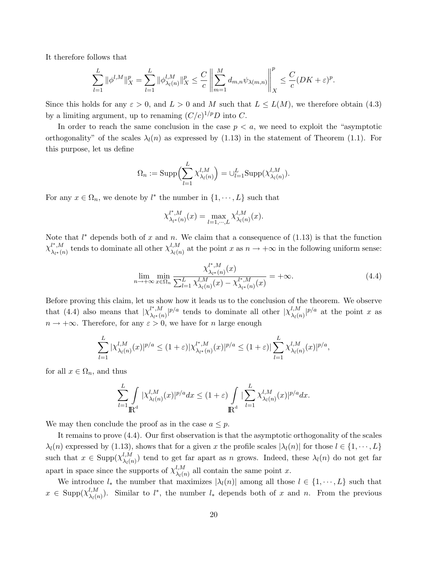It therefore follows that

$$
\sum_{l=1}^L\|\phi^{l,M}\|_X^p=\sum_{l=1}^L\|\phi^{l,M}_{\lambda_l(n)}\|_X^p\leq \frac{C}{c}\left\|\sum_{m=1}^Md_{m,n}\psi_{\lambda(m,n)}\right\|_X^p\leq \frac{C}{c}(DK+\varepsilon)^p.
$$

Since this holds for any  $\varepsilon > 0$ , and  $L > 0$  and M such that  $L \le L(M)$ , we therefore obtain (4.3) by a limiting argument, up to renaming  $(C/c)^{1/p}D$  into C.

In order to reach the same conclusion in the case  $p < a$ , we need to exploit the "asymptotic orthogonality" of the scales  $\lambda_l(n)$  as expressed by (1.13) in the statement of Theorem (1.1). For this purpose, let us define

$$
\Omega_n := \mathrm{Supp}\Big(\sum_{l=1}^L \chi_{\lambda_l(n)}^{l,M}\Big) = \cup_{l=1}^L \mathrm{Supp}(\chi_{\lambda_l(n)}^{l,M}).
$$

For any  $x \in \Omega_n$ , we denote by  $l^*$  the number in  $\{1, \dots, L\}$  such that

$$
\chi^{l^*,M}_{\lambda_{l^*}(n)}(x) = \max_{l=1,\cdots,L} \chi^{l,M}_{\lambda_l(n)}(x).
$$

Note that  $l^*$  depends both of x and n. We claim that a consequence of  $(1.13)$  is that the function  $\chi^{l^*,M}_{l}$  $\lambda^{l^*,M}_{l^*(n)}$  tends to dominate all other  $\chi^{l,M}_{\lambda_l(n)}$  $\lambda_i^{l,M}_{\lambda_l(n)}$  at the point x as  $n \to +\infty$  in the following uniform sense:

$$
\lim_{n \to +\infty} \min_{x \in \Omega_n} \frac{\chi_{\lambda_{l^*}(n)}^{l^*,M}(x)}{\sum_{l=1}^L \chi_{\lambda_l(n)}^{l,M}(x) - \chi_{\lambda_{l^*}(n)}^{l^*,M}(x)} = +\infty.
$$
\n(4.4)

Before proving this claim, let us show how it leads us to the conclusion of the theorem. We observe that (4.4) also means that  $\chi_{\lambda}^{l^*,M}$  $\frac{\partial^{i^*M}}{\partial x^*(n)}|^{p/a}$  tends to dominate all other  $|\chi_{\lambda_l(n)}^{l,M}|$  $\frac{l,M}{\lambda_l(n)}|^{p/a}$  at the point x as  $n \to +\infty$ . Therefore, for any  $\varepsilon > 0$ , we have for n large enough

$$
\sum_{l=1}^{L} |\chi_{\lambda_l(n)}^{l,M}(x)|^{p/a} \le (1+\varepsilon) |\chi_{\lambda_l*(n)}^{l^*,M}(x)|^{p/a} \le (1+\varepsilon) |\sum_{l=1}^{L} \chi_{\lambda_l(n)}^{l,M}(x)|^{p/a},
$$

for all  $x \in \Omega_n$ , and thus

$$
\sum_{l=1}^L \int\limits_{\mathbb{R}^d} |\chi_{\lambda_l(n)}^{l,M}(x)|^{p/a} dx \leq (1+\varepsilon) \int\limits_{\mathbb{R}^d} |\sum_{l=1}^L \chi_{\lambda_l(n)}^{l,M}(x)|^{p/a} dx.
$$

We may then conclude the proof as in the case  $a \leq p$ .

It remains to prove (4.4). Our first observation is that the asymptotic orthogonality of the scales  $\lambda_l(n)$  expressed by (1.13), shows that for a given x the profile scales  $|\lambda_l(n)|$  for those  $l \in \{1, \dots, L\}$ such that  $x \in \text{Supp}(\chi^{l,M}_{\lambda,\alpha})$  $\lambda_l(n)$  tend to get far apart as n grows. Indeed, these  $\lambda_l(n)$  do not get far apart in space since the supports of  $\chi^{l,M}_{\lambda,\alpha}$  $\lambda_l^{l,M}$  all contain the same point x.

We introduce  $l_*$  the number that maximizes  $|\lambda_l(n)|$  among all those  $l \in \{1, \dots, L\}$  such that  $x \in \text{Supp}(\chi^{l,M}_{\lambda,l})$  $\lambda_{l}(M)$ . Similar to  $l^*$ , the number  $l_*$  depends both of x and n. From the previous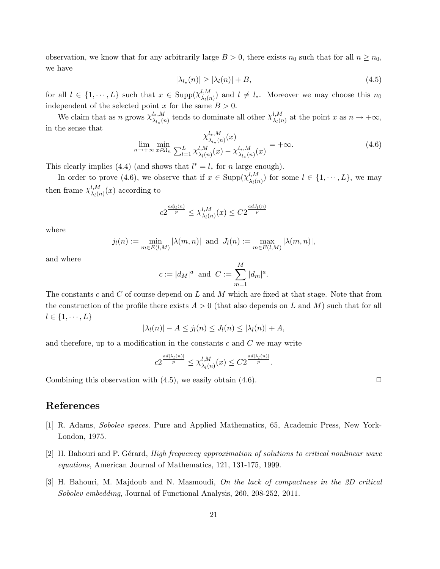observation, we know that for any arbitrarily large  $B > 0$ , there exists  $n_0$  such that for all  $n \geq n_0$ , we have

$$
|\lambda_{l_*}(n)| \ge |\lambda_l(n)| + B,\tag{4.5}
$$

for all  $l \in \{1, \dots, L\}$  such that  $x \in \text{Supp}(\chi^{l,M}_{\lambda,\ell})$  $\lambda_l(n)$  and  $l \neq l_*$ . Moreover we may choose this  $n_0$ independent of the selected point x for the same  $B > 0$ .

We claim that as n grows  $\chi^{l_*,M}_{\lambda,\alpha}$  $\lambda_{l*}^{l_*,M}$  tends to dominate all other  $\chi_{\lambda_l (l)}^{l,M}$  $\lambda_l^{l,M}$  at the point x as  $n \to +\infty$ , in the sense that l∤,  $M$ 

$$
\lim_{n \to +\infty} \min_{x \in \Omega_n} \frac{\chi_{\lambda_{l_*}(n)}^{l_*,M}(x)}{\sum_{l=1}^L \chi_{\lambda_l(n)}^{l,M}(x) - \chi_{\lambda_{l_*}(n)}^{l_*,M}(x)} = +\infty.
$$
\n(4.6)

This clearly implies (4.4) (and shows that  $l^* = l_*$  for n large enough).

In order to prove (4.6), we observe that if  $x \in \text{Supp}(\chi^{l,M}_{\lambda,\ell})$  $\lambda_l^{l,M}$  for some  $l \in \{1, \dots, L\}$ , we may then frame  $\chi^{l,M}_{\lambda,\alpha}$  $\lambda_l^{l,M}(\lambda_l(x))$  according to

$$
c2^{\frac{adj_l(n)}{p}} \le \chi_{\lambda_l(n)}^{l,M}(x) \le C2^{\frac{adj_l(n)}{p}}
$$

where

$$
j_l(n) := \min_{m \in E(l,M)} |\lambda(m,n)| \text{ and } J_l(n) := \max_{m \in E(l,M)} |\lambda(m,n)|,
$$

and where

$$
c := |d_M|^a
$$
 and  $C := \sum_{m=1}^M |d_m|^a$ .

The constants c and C of course depend on L and M which are fixed at that stage. Note that from the construction of the profile there exists  $A > 0$  (that also depends on L and M) such that for all  $l \in \{1, \cdots, L\}$ 

$$
|\lambda_l(n)| - A \le j_l(n) \le J_l(n) \le |\lambda_l(n)| + A,
$$

and therefore, up to a modification in the constants  $c$  and  $C$  we may write

$$
c2^{\frac{ad|\lambda_l(n)|}{p}} \leq \chi_{\lambda_l(n)}^{l,M}(x) \leq C2^{\frac{ad|\lambda_l(n)|}{p}}.
$$

Combining this observation with  $(4.5)$ , we easily obtain  $(4.6)$ .

### References

- [1] R. Adams, Sobolev spaces. Pure and Applied Mathematics, 65, Academic Press, New York-London, 1975.
- [2] H. Bahouri and P. Gérard, *High frequency approximation of solutions to critical nonlinear wave* equations, American Journal of Mathematics, 121, 131-175, 1999.
- [3] H. Bahouri, M. Majdoub and N. Masmoudi, On the lack of compactness in the 2D critical Sobolev embedding, Journal of Functional Analysis, 260, 208-252, 2011.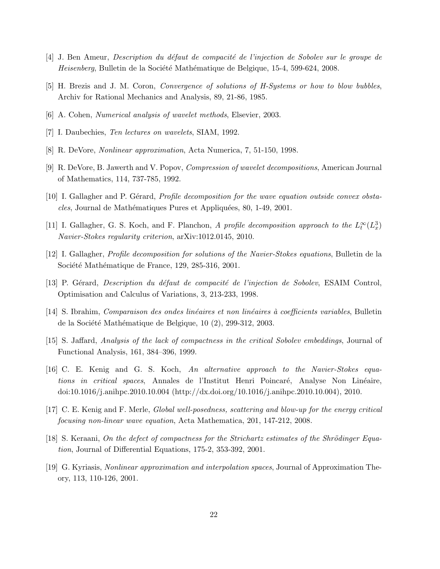- [4] J. Ben Ameur, *Description du défaut de compacité de l'injection de Sobolev sur le groupe de* Heisenberg, Bulletin de la Société Mathématique de Belgique, 15-4, 599-624, 2008.
- [5] H. Brezis and J. M. Coron, Convergence of solutions of H-Systems or how to blow bubbles, Archiv for Rational Mechanics and Analysis, 89, 21-86, 1985.
- [6] A. Cohen, Numerical analysis of wavelet methods, Elsevier, 2003.
- [7] I. Daubechies, Ten lectures on wavelets, SIAM, 1992.
- [8] R. DeVore, Nonlinear approximation, Acta Numerica, 7, 51-150, 1998.
- [9] R. DeVore, B. Jawerth and V. Popov, Compression of wavelet decompositions, American Journal of Mathematics, 114, 737-785, 1992.
- [10] I. Gallagher and P. Gérard, *Profile decomposition for the wave equation outside convex obsta*cles, Journal de Mathématiques Pures et Appliquées, 80, 1-49, 2001.
- [11] I. Gallagher, G. S. Koch, and F. Planchon, A profile decomposition approach to the  $L_t^{\infty}(L_x^3)$ Navier-Stokes regularity criterion, arXiv:1012.0145, 2010.
- [12] I. Gallagher, Profile decomposition for solutions of the Navier-Stokes equations, Bulletin de la Société Mathématique de France, 129, 285-316, 2001.
- [13] P. Gérard, *Description du défaut de compacité de l'injection de Sobolev*, ESAIM Control, Optimisation and Calculus of Variations, 3, 213-233, 1998.
- [14] S. Ibrahim, *Comparaison des ondes linéaires et non linéaires à coefficients variables*, Bulletin de la Société Mathématique de Belgique, 10 (2), 299-312, 2003.
- [15] S. Jaffard, Analysis of the lack of compactness in the critical Sobolev embeddings, Journal of Functional Analysis, 161, 384–396, 1999.
- [16] C. E. Kenig and G. S. Koch, An alternative approach to the Navier-Stokes equations in critical spaces, Annales de l'Institut Henri Poincaré, Analyse Non Linéaire, doi:10.1016/j.anihpc.2010.10.004 (http://dx.doi.org/10.1016/j.anihpc.2010.10.004), 2010.
- [17] C. E. Kenig and F. Merle, Global well-posedness, scattering and blow-up for the energy critical focusing non-linear wave equation, Acta Mathematica, 201, 147-212, 2008.
- $[18]$  S. Keraani, On the defect of compactness for the Strichartz estimates of the Shrödinger Equation, Journal of Differential Equations, 175-2, 353-392, 2001.
- [19] G. Kyriasis, Nonlinear approximation and interpolation spaces, Journal of Approximation Theory, 113, 110-126, 2001.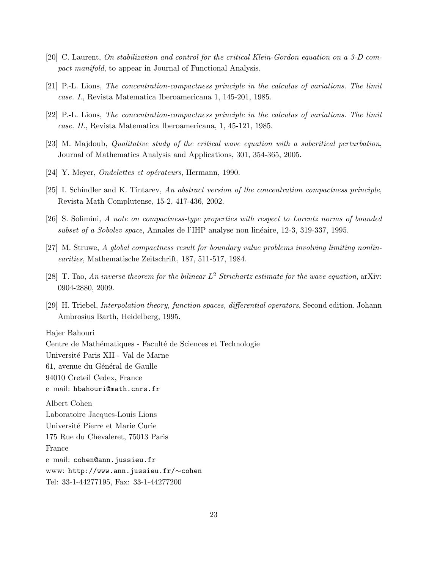- [20] C. Laurent, On stabilization and control for the critical Klein-Gordon equation on a 3-D compact manifold, to appear in Journal of Functional Analysis.
- [21] P.-L. Lions, The concentration-compactness principle in the calculus of variations. The limit case. I., Revista Matematica Iberoamericana 1, 145-201, 1985.
- [22] P.-L. Lions, The concentration-compactness principle in the calculus of variations. The limit case. II., Revista Matematica Iberoamericana, 1, 45-121, 1985.
- [23] M. Majdoub, Qualitative study of the critical wave equation with a subcritical perturbation, Journal of Mathematics Analysis and Applications, 301, 354-365, 2005.
- [24] Y. Meyer, *Ondelettes et opérateurs*, Hermann, 1990.
- [25] I. Schindler and K. Tintarev, An abstract version of the concentration compactness principle, Revista Math Complutense, 15-2, 417-436, 2002.
- [26] S. Solimini, A note on compactness-type properties with respect to Lorentz norms of bounded subset of a Sobolev space, Annales de l'IHP analyse non linéaire, 12-3, 319-337, 1995.
- [27] M. Struwe, A global compactness result for boundary value problems involving limiting nonlinearities, Mathematische Zeitschrift, 187, 511-517, 1984.
- [28] T. Tao, An inverse theorem for the bilinear  $L^2$  Strichartz estimate for the wave equation, arXiv: 0904-2880, 2009.
- [29] H. Triebel, Interpolation theory, function spaces, differential operators, Second edition. Johann Ambrosius Barth, Heidelberg, 1995.

Hajer Bahouri

Centre de Mathématiques - Faculté de Sciences et Technologie

Université Paris XII - Val de Marne

61, avenue du Général de Gaulle

94010 Creteil Cedex, France

e–mail: hbahouri@math.cnrs.fr

Albert Cohen Laboratoire Jacques-Louis Lions Universit´e Pierre et Marie Curie 175 Rue du Chevaleret, 75013 Paris France e–mail: cohen@ann.jussieu.fr www: http://www.ann.jussieu.fr/∼cohen Tel: 33-1-44277195, Fax: 33-1-44277200